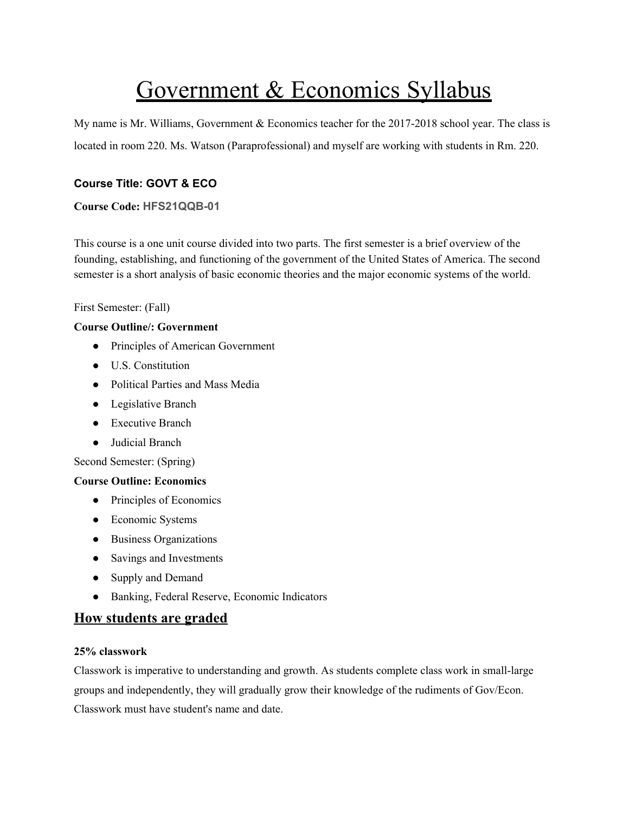# Government & Economics Syllabus

My name is Mr. Williams, Government & Economics teacher for the 2017-2018 school year. The class is located in room 220. Ms. Watson (Paraprofessional) and myself are working with students in Rm. 220.

# **Course Title: GOVT & ECO**

## **Course Code: HFS21QQB-01**

This course is a one unit course divided into two parts. The first semester is a brief overview of the founding, establishing, and functioning of the government of the United States of America. The second semester is a short analysis of basic economic theories and the major economic systems of the world.

First Semester: (Fall)

## **Course Outline/: Government**

- Principles of American Government
- U.S. Constitution
- Political Parties and Mass Media
- Legislative Branch
- Executive Branch
- Judicial Branch

Second Semester: (Spring)

## **Course Outline: Economics**

- Principles of Economics
- Economic Systems
- Business Organizations
- Savings and Investments
- Supply and Demand
- Banking, Federal Reserve, Economic Indicators

# **How students are graded**

## **25% classwork**

Classwork is imperative to understanding and growth. As students complete class work in small-large groups and independently, they will gradually grow their knowledge of the rudiments of Gov/Econ. Classwork must have student's name and date.